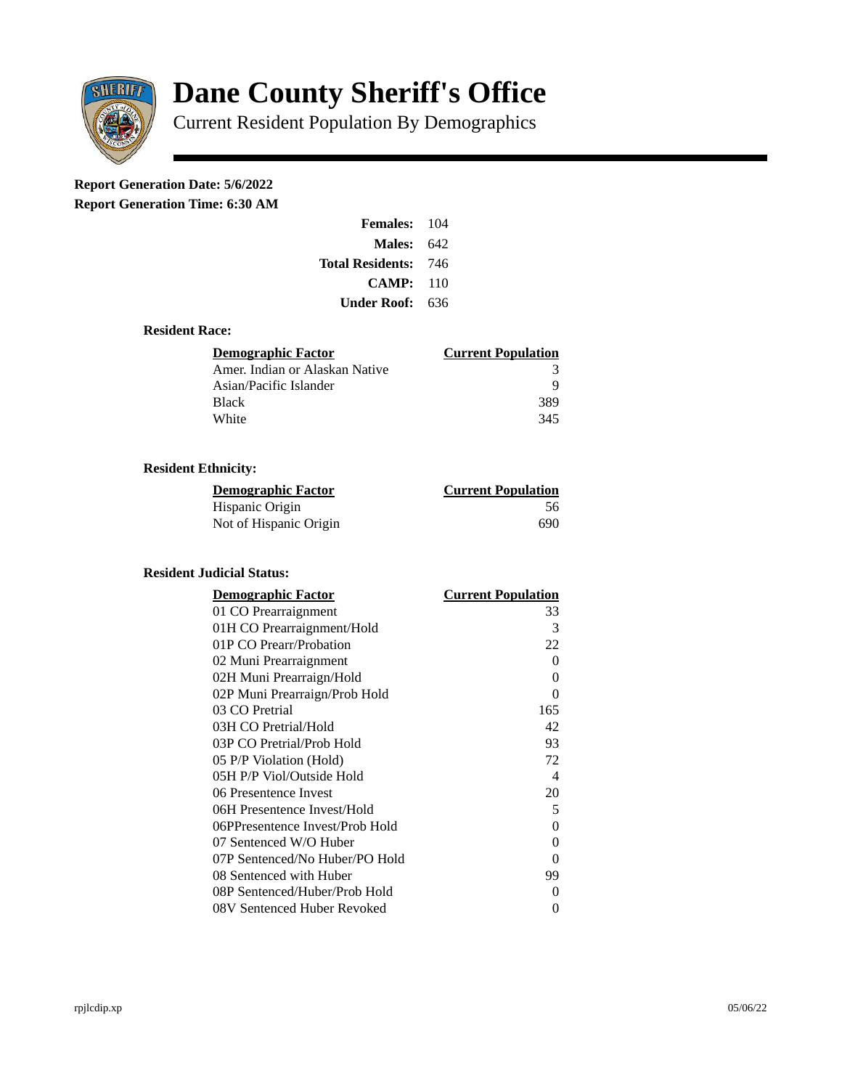

# **Dane County Sheriff's Office**

Current Resident Population By Demographics

# **Report Generation Date: 5/6/2022**

**Report Generation Time: 6:30 AM** 

| <b>Females:</b> 104 |       |
|---------------------|-------|
| Males:              | 642   |
| Total Residents:    | - 746 |
| CAMP:               | 110   |
| Under Roof: -       | 636   |

### **Resident Race:**

| Demographic Factor             | <b>Current Population</b> |
|--------------------------------|---------------------------|
| Amer. Indian or Alaskan Native | 3                         |
| Asian/Pacific Islander         | q                         |
| Black                          | 389                       |
| White                          | 345                       |

## **Resident Ethnicity:**

| <u> Demographic Factor</u> | <b>Current Population</b> |
|----------------------------|---------------------------|
| Hispanic Origin            | 56                        |
| Not of Hispanic Origin     | 690                       |

#### **Resident Judicial Status:**

| <b>Demographic Factor</b>       | <b>Current Population</b> |
|---------------------------------|---------------------------|
| 01 CO Prearraignment            | 33                        |
| 01H CO Prearraignment/Hold      | 3                         |
| 01P CO Prearr/Probation         | 22                        |
| 02 Muni Prearraignment          | 0                         |
| 02H Muni Prearraign/Hold        | 0                         |
| 02P Muni Prearraign/Prob Hold   | 0                         |
| 03 CO Pretrial                  | 165                       |
| 03H CO Pretrial/Hold            | 42                        |
| 03P CO Pretrial/Prob Hold       | 93                        |
| 05 P/P Violation (Hold)         | 72                        |
| 05H P/P Viol/Outside Hold       | $\overline{\mathcal{A}}$  |
| 06 Presentence Invest           | 20                        |
| 06H Presentence Invest/Hold     | 5                         |
| 06PPresentence Invest/Prob Hold | 0                         |
| 07 Sentenced W/O Huber          | 0                         |
| 07P Sentenced/No Huber/PO Hold  | 0                         |
| 08 Sentenced with Huber         | 99                        |
| 08P Sentenced/Huber/Prob Hold   | 0                         |
| 08V Sentenced Huber Revoked     | 0                         |